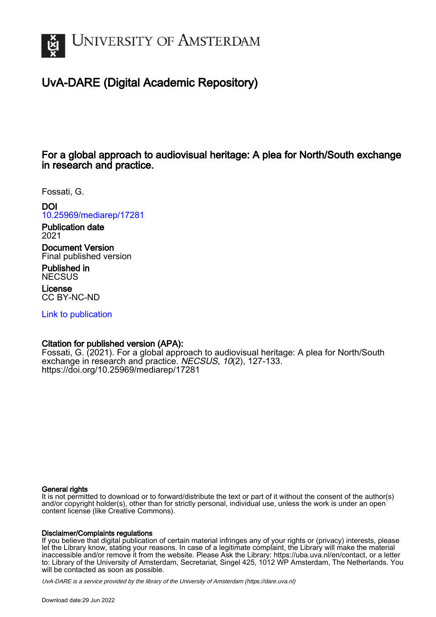

# UvA-DARE (Digital Academic Repository)

# For a global approach to audiovisual heritage: A plea for North/South exchange in research and practice.

Fossati, G.

DOI [10.25969/mediarep/17281](https://doi.org/10.25969/mediarep/17281)

Publication date 2021

Document Version Final published version

Published in **NECSUS** 

License CC BY-NC-ND

[Link to publication](https://dare.uva.nl/personal/pure/en/publications/for-a-global-approach-to-audiovisual-heritage-a-plea-for-northsouth-exchange-in-research-and-practice(b319bcd0-f1c5-4c7e-accb-30c79d3f2d0d).html)

## Citation for published version (APA):

Fossati, G. (2021). For a global approach to audiovisual heritage: A plea for North/South exchange in research and practice. NECSUS, 10(2), 127-133. <https://doi.org/10.25969/mediarep/17281>

#### General rights

It is not permitted to download or to forward/distribute the text or part of it without the consent of the author(s) and/or copyright holder(s), other than for strictly personal, individual use, unless the work is under an open content license (like Creative Commons).

#### Disclaimer/Complaints regulations

If you believe that digital publication of certain material infringes any of your rights or (privacy) interests, please let the Library know, stating your reasons. In case of a legitimate complaint, the Library will make the material inaccessible and/or remove it from the website. Please Ask the Library: https://uba.uva.nl/en/contact, or a letter to: Library of the University of Amsterdam, Secretariat, Singel 425, 1012 WP Amsterdam, The Netherlands. You will be contacted as soon as possible.

UvA-DARE is a service provided by the library of the University of Amsterdam (http*s*://dare.uva.nl)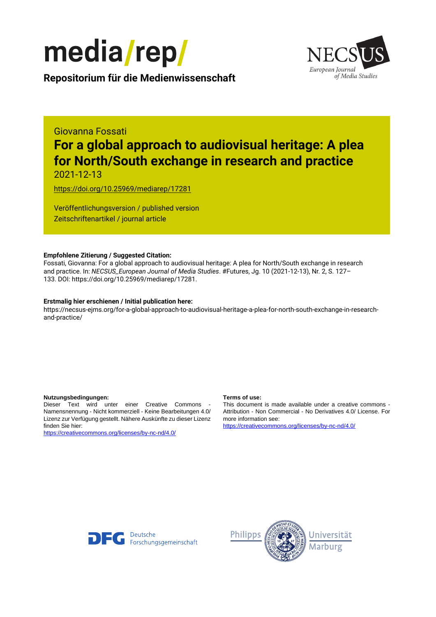



**Repositorium für die [Medienwissenschaft](https://mediarep.org)**

# Giovanna Fossati **For a global approach to audiovisual heritage: A plea for North/South exchange in research and practice**

2021-12-13

<https://doi.org/10.25969/mediarep/17281>

Veröffentlichungsversion / published version Zeitschriftenartikel / journal article

#### **Empfohlene Zitierung / Suggested Citation:**

Fossati, Giovanna: For a global approach to audiovisual heritage: A plea for North/South exchange in research and practice. In: *NECSUS\_European Journal of Media Studies*. #Futures, Jg. 10 (2021-12-13), Nr. 2, S. 127– 133. DOI: https://doi.org/10.25969/mediarep/17281.

#### **Erstmalig hier erschienen / Initial publication here:**

https://necsus-ejms.org/for-a-global-approach-to-audiovisual-heritage-a-plea-for-north-south-exchange-in-researchand-practice/

#### **Nutzungsbedingungen: Terms of use:**

Dieser Text wird unter einer Creative Commons - Namensnennung - Nicht kommerziell - Keine Bearbeitungen 4.0/ Lizenz zur Verfügung gestellt. Nähere Auskünfte zu dieser Lizenz finden Sie hier:

<https://creativecommons.org/licenses/by-nc-nd/4.0/>

This document is made available under a creative commons - Attribution - Non Commercial - No Derivatives 4.0/ License. For more information see:

<https://creativecommons.org/licenses/by-nc-nd/4.0/>



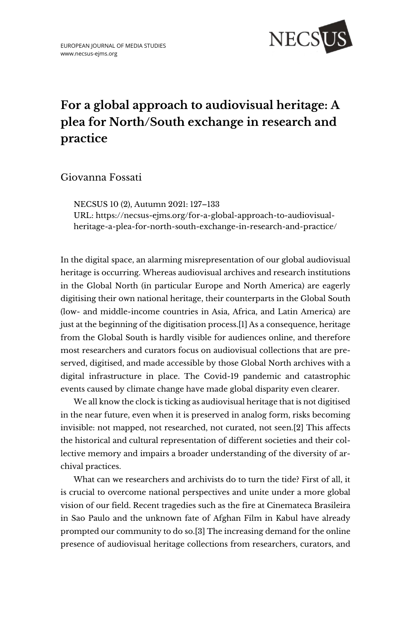

# **For a global approach to audiovisual heritage: A plea for North/South exchange in research and practice**

Giovanna Fossati

NECSUS 10 (2), Autumn 2021: 127–133 URL: [https://necsus-ejms.org/for-a-global-approach-to-audiovisual](https://necsus-ejms.org/for-a-global-approach-to-audiovisual-heritage-a-plea-for-north-south-exchange-in-research-and-practice/)[heritage-a-plea-for-north-south-exchange-in-research-and-practice/](https://necsus-ejms.org/for-a-global-approach-to-audiovisual-heritage-a-plea-for-north-south-exchange-in-research-and-practice/)

In the digital space, an alarming misrepresentation of our global audiovisual heritage is occurring. Whereas audiovisual archives and research institutions in the Global North (in particular Europe and North America) are eagerly digitising their own national heritage, their counterparts in the Global South (low- and middle-income countries in Asia, Africa, and Latin America) are just at the beginning of the digitisation process.[1] As a consequence, heritage from the Global South is hardly visible for audiences online, and therefore most researchers and curators focus on audiovisual collections that are preserved, digitised, and made accessible by those Global North archives with a digital infrastructure in place. The Covid-19 pandemic and catastrophic events caused by climate change have made global disparity even clearer.

We all know the clock is ticking as audiovisual heritage that is not digitised in the near future, even when it is preserved in analog form, risks becoming invisible: not mapped, not researched, not curated, not seen.[2] This affects the historical and cultural representation of different societies and their collective memory and impairs a broader understanding of the diversity of archival practices.

What can we researchers and archivists do to turn the tide? First of all, it is crucial to overcome national perspectives and unite under a more global vision of our field. Recent tragedies such as the fire at Cinemateca Brasileira in Sao Paulo and the unknown fate of Afghan Film in Kabul have already prompted our community to do so.[3] The increasing demand for the online presence of audiovisual heritage collections from researchers, curators, and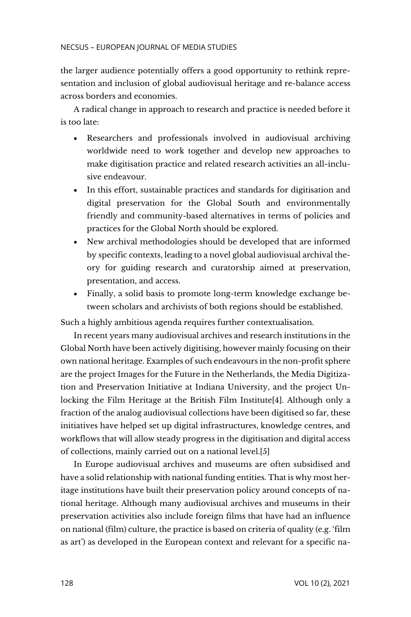the larger audience potentially offers a good opportunity to rethink representation and inclusion of global audiovisual heritage and re-balance access across borders and economies.

A radical change in approach to research and practice is needed before it is too late:

- Researchers and professionals involved in audiovisual archiving worldwide need to work together and develop new approaches to make digitisation practice and related research activities an all-inclusive endeavour.
- In this effort, sustainable practices and standards for digitisation and digital preservation for the Global South and environmentally friendly and community-based alternatives in terms of policies and practices for the Global North should be explored.
- New archival methodologies should be developed that are informed by specific contexts, leading to a novel global audiovisual archival theory for guiding research and curatorship aimed at preservation, presentation, and access.
- Finally, a solid basis to promote long-term knowledge exchange between scholars and archivists of both regions should be established.

Such a highly ambitious agenda requires further contextualisation.

In recent years many audiovisual archives and research institutions in the Global North have been actively digitising, however mainly focusing on their own national heritage. Examples of such endeavours in the non-profit sphere are the project Images for the Future in the Netherlands, the Media Digitization and Preservation Initiative at Indiana University, and the project Unlocking the Film Heritage at the British Film Institute[4]. Although only a fraction of the analog audiovisual collections have been digitised so far, these initiatives have helped set up digital infrastructures, knowledge centres, and workflows that will allow steady progress in the digitisation and digital access of collections, mainly carried out on a national level.[5]

In Europe audiovisual archives and museums are often subsidised and have a solid relationship with national funding entities. That is why most heritage institutions have built their preservation policy around concepts of national heritage. Although many audiovisual archives and museums in their preservation activities also include foreign films that have had an influence on national (film) culture, the practice is based on criteria of quality (e.g. 'film as art') as developed in the European context and relevant for a specific na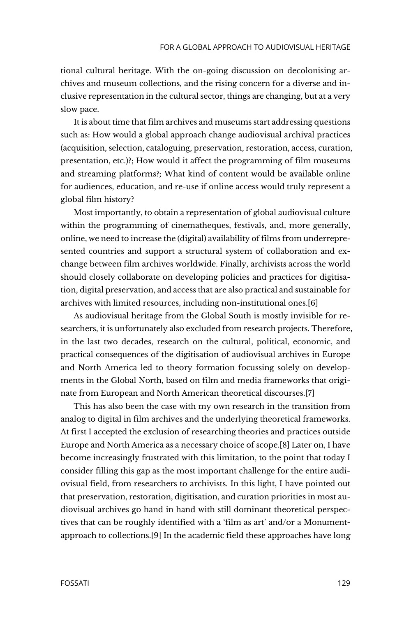tional cultural heritage. With the on-going discussion on decolonising archives and museum collections, and the rising concern for a diverse and inclusive representation in the cultural sector, things are changing, but at a very slow pace.

It is about time that film archives and museums start addressing questions such as: How would a global approach change audiovisual archival practices (acquisition, selection, cataloguing, preservation, restoration, access, curation, presentation, etc.)?; How would it affect the programming of film museums and streaming platforms?; What kind of content would be available online for audiences, education, and re-use if online access would truly represent a global film history?

Most importantly, to obtain a representation of global audiovisual culture within the programming of cinematheques, festivals, and, more generally, online, we need to increase the (digital) availability of films from underrepresented countries and support a structural system of collaboration and exchange between film archives worldwide. Finally, archivists across the world should closely collaborate on developing policies and practices for digitisation, digital preservation, and access that are also practical and sustainable for archives with limited resources, including non-institutional ones.[6]

As audiovisual heritage from the Global South is mostly invisible for researchers, it is unfortunately also excluded from research projects. Therefore, in the last two decades, research on the cultural, political, economic, and practical consequences of the digitisation of audiovisual archives in Europe and North America led to theory formation focussing solely on developments in the Global North, based on film and media frameworks that originate from European and North American theoretical discourses.[7]

This has also been the case with my own research in the transition from analog to digital in film archives and the underlying theoretical frameworks. At first I accepted the exclusion of researching theories and practices outside Europe and North America as a necessary choice of scope.[8] Later on, I have become increasingly frustrated with this limitation, to the point that today I consider filling this gap as the most important challenge for the entire audiovisual field, from researchers to archivists. In this light, I have pointed out that preservation, restoration, digitisation, and curation priorities in most audiovisual archives go hand in hand with still dominant theoretical perspectives that can be roughly identified with a 'film as art' and/or a Monumentapproach to collections.[9] In the academic field these approaches have long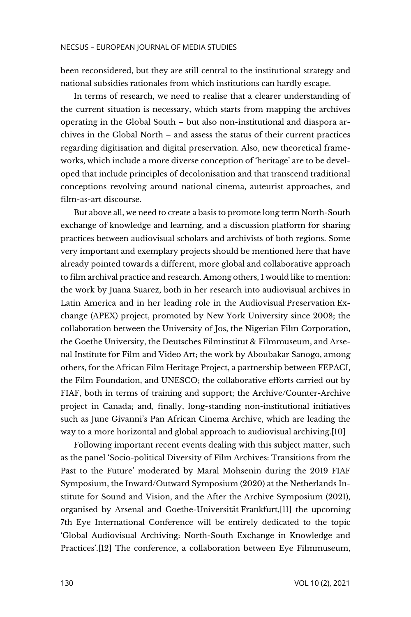been reconsidered, but they are still central to the institutional strategy and national subsidies rationales from which institutions can hardly escape.

In terms of research, we need to realise that a clearer understanding of the current situation is necessary, which starts from mapping the archives operating in the Global South – but also non-institutional and diaspora archives in the Global North – and assess the status of their current practices regarding digitisation and digital preservation. Also, new theoretical frameworks, which include a more diverse conception of 'heritage' are to be developed that include principles of decolonisation and that transcend traditional conceptions revolving around national cinema, auteurist approaches, and film-as-art discourse.

But above all, we need to create a basis to promote long term North-South exchange of knowledge and learning, and a discussion platform for sharing practices between audiovisual scholars and archivists of both regions. Some very important and exemplary projects should be mentioned here that have already pointed towards a different, more global and collaborative approach to film archival practice and research. Among others, I would like to mention: the work by Juana Suarez, both in her research into audiovisual archives in Latin America and in her leading role in the Audiovisual Preservation Exchange (APEX) project, promoted by New York University since 2008; the collaboration between the University of Jos, the Nigerian Film Corporation, the Goethe University, the Deutsches Filminstitut & Filmmuseum, and Arsenal Institute for Film and Video Art; the work by Aboubakar Sanogo, among others, for the African Film Heritage Project, a partnership between FEPACI, the Film Foundation, and UNESCO; the collaborative efforts carried out by FIAF, both in terms of training and support; the Archive/Counter-Archive project in Canada; and, finally, long-standing non-institutional initiatives such as June Givanni's Pan African Cinema Archive, which are leading the way to a more horizontal and global approach to audiovisual archiving.[10]

Following important recent events dealing with this subject matter, such as the panel 'Socio-political Diversity of Film Archives: Transitions from the Past to the Future' moderated by Maral Mohsenin during the 2019 FIAF Symposium, the Inward/Outward Symposium (2020) at the Netherlands Institute for Sound and Vision, and the After the Archive Symposium (2021), organised by Arsenal and Goethe-Universität Frankfurt,[11] the upcoming 7th Eye International Conference will be entirely dedicated to the topic 'Global Audiovisual Archiving: North-South Exchange in Knowledge and Practices'.[12] The conference, a collaboration between Eye Filmmuseum,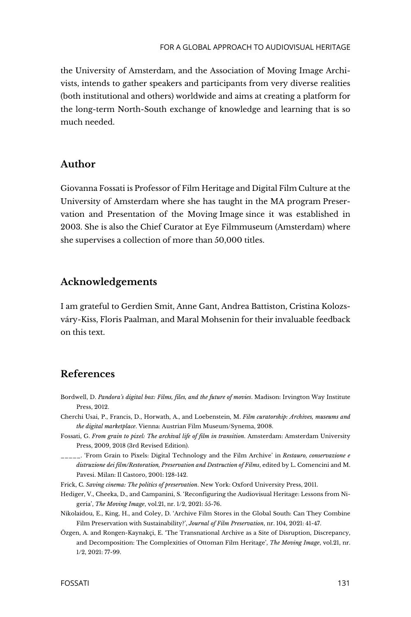the University of Amsterdam, and the Association of Moving Image Archivists, intends to gather speakers and participants from very diverse realities (both institutional and others) worldwide and aims at creating a platform for the long-term North-South exchange of knowledge and learning that is so much needed.

#### **Author**

Giovanna Fossati is Professor of Film Heritage and Digital Film Culture at the University of Amsterdam where she has taught in the MA program Preservation and Presentation of the Moving Image since it was established in 2003. She is also the Chief Curator at Eye Filmmuseum (Amsterdam) where she supervises a collection of more than 50,000 titles.

### **Acknowledgements**

I am grateful to Gerdien Smit, Anne Gant, Andrea Battiston, Cristina Kolozsváry-Kiss, Floris Paalman, and Maral Mohsenin for their invaluable feedback on this text.

### **References**

- Bordwell, D. *Pandora's digital box: Films, files, and the future of movies*. Madison: Irvington Way Institute Press, 2012.
- Cherchi Usai, P., Francis, D., Horwath, A., and Loebenstein, M. *Film curatorship: Archives, museums and the digital marketplace*. Vienna: Austrian Film Museum/Synema, 2008.
- Fossati, G. *From grain to pixel: The archival life of film in transition*. Amsterdam: Amsterdam University Press, 2009, 2018 (3rd Revised Edition).
- \_\_\_\_\_. 'From Grain to Pixels: Digital Technology and the Film Archive' in *Restauro, conservazione e distruzione dei film/Restoration, Preservation and Destruction of Films*, edited by L. Comencini and M. Pavesi. Milan: Il Castoro, 2001: 128-142.
- Frick, C. *Saving cinema: The politics of preservation*. New York: Oxford University Press, 2011.
- Hediger, V., Cheeka, D., and Campanini, S. 'Reconfiguring the Audiovisual Heritage: Lessons from Nigeria', *The Moving Image*, vol.21, nr. 1/2, 2021: 55-76.
- Nikolaidou, E., King, H., and Coley, D. 'Archive Film Stores in the Global South: Can They Combine Film Preservation with Sustainability?', *Journal of Film Preservation*, nr. 104, 2021: 41-47.
- Özgen, A. and Rongen-Kaynakçi, E. 'The Transnational Archive as a Site of Disruption, Discrepancy, and Decomposition: The Complexities of Ottoman Film Heritage', *The Moving Image*, vol.21, nr. 1/2, 2021: 77-99.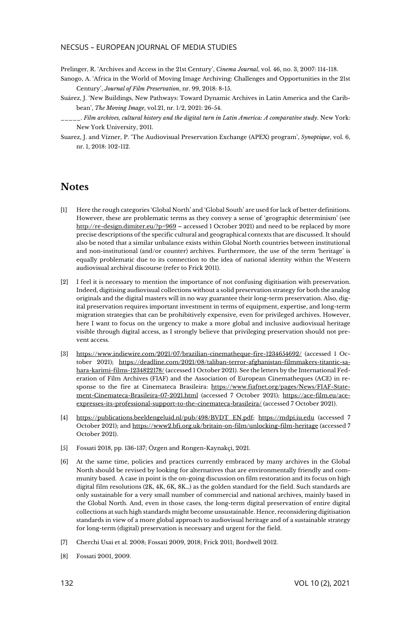#### NECSUS – EUROPEAN JOURNAL OF MEDIA STUDIES

Prelinger, R. 'Archives and Access in the 21st Century', *Cinema Journal*, vol. 46, no. 3, 2007: 114-118.

- Sanogo, A. 'Africa in the World of Moving Image Archiving: Challenges and Opportunities in the 21st Century', *Journal of Film Preservation*, nr. 99, 2018: 8-15.
- Suárez, J. 'New Buildings, New Pathways: Toward Dynamic Archives in Latin America and the Caribbean', *The Moving Image*, vol.21, nr. 1/2, 2021: 26-54.
- \_\_\_\_\_. *Film archives, cultural history and the digital turn in Latin America: A comparative study*. New York: New York University, 2011.
- Suarez, J. and Vízner, P. 'The Audiovisual Preservation Exchange (APEX) program', *Synoptique*, vol. 6, nr. 1, 2018: 102-112.

### **Notes**

- [1] Here the rough categories 'Global North' and 'Global South' are used for lack of better definitions. However, these are problematic terms as they convey a sense of 'geographic determinism' (see <http://re-design.dimiter.eu/?p=969> – accessed 1 October 2021) and need to be replaced by more precise descriptions of the specific cultural and geographical contexts that are discussed. It should also be noted that a similar unbalance exists within Global North countries between institutional and non-institutional (and/or counter) archives. Furthermore, the use of the term 'heritage' is equally problematic due to its connection to the idea of national identity within the Western audiovisual archival discourse (refer to Frick 2011).
- [2] I feel it is necessary to mention the importance of not confusing digitisation with preservation. Indeed, digitising audiovisual collections without a solid preservation strategy for both the analog originals and the digital masters will in no way guarantee their long-term preservation. Also, digital preservation requires important investment in terms of equipment, expertise, and long-term migration strategies that can be prohibitively expensive, even for privileged archives. However, here I want to focus on the urgency to make a more global and inclusive audiovisual heritage visible through digital access, as I strongly believe that privileging preservation should not prevent access.
- [3] <https://www.indiewire.com/2021/07/brazilian-cinematheque-fire-1234654692/> (accessed 1 October 2021); [https://deadline.com/2021/08/taliban-terror-afghanistan-filmmakers-titantic-sa](https://deadline.com/2021/08/taliban-terror-afghanistan-filmmakers-titantic-sahara-karimi-films-1234822178/)[hara-karimi-films-1234822178/](https://deadline.com/2021/08/taliban-terror-afghanistan-filmmakers-titantic-sahara-karimi-films-1234822178/) (accessed 1 October 2021). See the letters by the International Federation of Film Archives (FIAF) and the Association of European Cinematheques (ACE) in response to the fire at Cinemateca Brasileira: [https://www.fiafnet.org/pages/News/FIAF-State](https://www.fiafnet.org/pages/News/FIAF-Statement-Cinemateca-Brasileira-07-2021.html)[ment-Cinemateca-Brasileira-07-2021.html](https://www.fiafnet.org/pages/News/FIAF-Statement-Cinemateca-Brasileira-07-2021.html) (accessed 7 October 2021); [https://ace-film.eu/ace](https://ace-film.eu/ace-expresses-its-professional-support-to-the-cinemateca-brasileira/)[expresses-its-professional-support-to-the-cinemateca-brasileira/](https://ace-film.eu/ace-expresses-its-professional-support-to-the-cinemateca-brasileira/) (accessed 7 October 2021).
- [4] [https://publications.beeldengeluid.nl/pub/498/BVDT\\_EN.pdf;](https://publications.beeldengeluid.nl/pub/498/BVDT_EN.pdf) [https://mdpi.iu.edu](https://mdpi.iu.edu/) (accessed 7 October 2021); an[d https://www2.bfi.org.uk/britain-on-film/unlocking-film-heritage](https://www2.bfi.org.uk/britain-on-film/unlocking-film-heritage) (accessed 7 October 2021).
- [5] Fossati 2018, pp. 136-137; Özgen and Rongen-Kaynakçi, 2021.
- [6] At the same time, policies and practices currently embraced by many archives in the Global North should be revised by looking for alternatives that are environmentally friendly and community based. A case in point is the on-going discussion on film restoration and its focus on high digital film resolutions (2K, 4K, 6K, 8K…) as the golden standard for the field. Such standards are only sustainable for a very small number of commercial and national archives, mainly based in the Global North. And, even in those cases, the long-term digital preservation of entire digital collections at such high standards might become unsustainable. Hence, reconsidering digitisation standards in view of a more global approach to audiovisual heritage and of a sustainable strategy for long-term (digital) preservation is necessary and urgent for the field.
- [7] Cherchi Usai et al. 2008; Fossati 2009, 2018; Frick 2011; Bordwell 2012.
- [8] Fossati 2001, 2009.